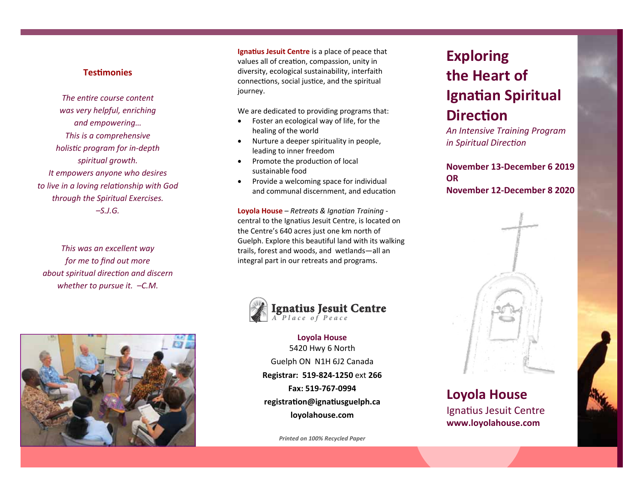### **TesƟmonies**

*The entire course content was very helpful, enriching and empowering… This is a comprehensive holisƟc program for in‐depth spiritual growth. It empowers anyone who desires to live in a loving relaƟonship with God through the Spiritual Exercises. –S.J.G.* 

*This was an excellent way for me to find out more about spiritual direcƟon and discern whether to pursue it. –C.M.* 



**Ignatius Jesuit Centre** is a place of peace that values all of creation, compassion, unity in diversity, ecological sustainability, interfaith connections, social justice, and the spiritual journey.

We are dedicated to providing programs that:

- $\bullet$  Foster an ecological way of life, for the healing of the world
- $\bullet$  Nurture a deeper spirituality in people, leading to inner freedom
- $\bullet$ Promote the production of local sustainable food
- $\bullet$  Provide a welcoming space for individual and communal discernment, and education

**Loyola House** – *Retreats & Ignatian Training* ‐ central to the Ignatius Jesuit Centre, is located on the Centre's 640 acres just one km north of Guelph. Explore this beautiful land with its walking trails, forest and woods, and wetlands—all an integral part in our retreats and programs.



**Loyola House**  5420 Hwy 6 North Guelph ON N1H 6J2 Canada **Registrar: 519‐824‐1250** ext **266 Fax: 519‐767‐0994 registraƟon@ignaƟusguelph.ca loyolahouse.com** 

*Printed on 100% Recycled Paper*

# **Exploring the Heart of Ignatian Spiritual DirecƟon**

*An Intensive Training Program in Spiritual DirecƟon* 

**November 13‐December 6 2019 OR November 12‐December 8 2020** 



## **Loyola House**  Ignatius Jesuit Centre **www.loyolahouse.com**